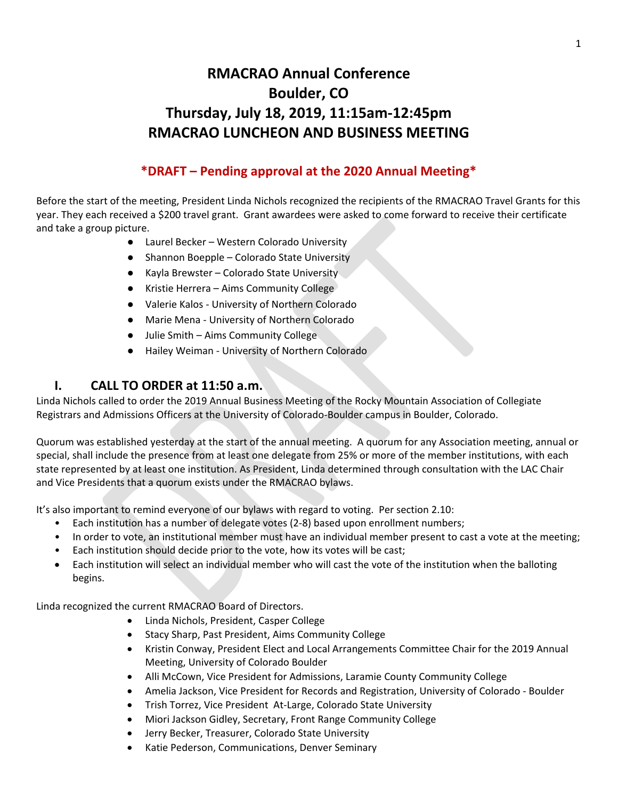# **RMACRAO Annual Conference Boulder, CO Thursday, July 18, 2019, 11:15am-12:45pm RMACRAO LUNCHEON AND BUSINESS MEETING**

# **\*DRAFT – Pending approval at the 2020 Annual Meeting\***

Before the start of the meeting, President Linda Nichols recognized the recipients of the RMACRAO Travel Grants for this year. They each received a \$200 travel grant. Grant awardees were asked to come forward to receive their certificate and take a group picture.

- Laurel Becker Western Colorado University
- Shannon Boepple Colorado State University
- Kayla Brewster Colorado State University
- Kristie Herrera Aims Community College
- Valerie Kalos University of Northern Colorado
- Marie Mena University of Northern Colorado
- Julie Smith Aims Community College
- Hailey Weiman University of Northern Colorado

#### **I. CALL TO ORDER at 11:50 a.m.**

Linda Nichols called to order the 2019 Annual Business Meeting of the Rocky Mountain Association of Collegiate Registrars and Admissions Officers at the University of Colorado-Boulder campus in Boulder, Colorado.

Quorum was established yesterday at the start of the annual meeting. A quorum for any Association meeting, annual or special, shall include the presence from at least one delegate from 25% or more of the member institutions, with each state represented by at least one institution. As President, Linda determined through consultation with the LAC Chair and Vice Presidents that a quorum exists under the RMACRAO bylaws.

It's also important to remind everyone of our bylaws with regard to voting. Per section 2.10:

- Each institution has a number of delegate votes (2-8) based upon enrollment numbers;
- In order to vote, an institutional member must have an individual member present to cast a vote at the meeting;
- Each institution should decide prior to the vote, how its votes will be cast;
- Each institution will select an individual member who will cast the vote of the institution when the balloting begins.

Linda recognized the current RMACRAO Board of Directors.

- Linda Nichols, President, Casper College
- Stacy Sharp, Past President, Aims Community College
- Kristin Conway, President Elect and Local Arrangements Committee Chair for the 2019 Annual Meeting, University of Colorado Boulder
- Alli McCown, Vice President for Admissions, Laramie County Community College
- Amelia Jackson, Vice President for Records and Registration, University of Colorado Boulder
- Trish Torrez, Vice President At-Large, Colorado State University
- Miori Jackson Gidley, Secretary, Front Range Community College
- Jerry Becker, Treasurer, Colorado State University
- Katie Pederson, Communications, Denver Seminary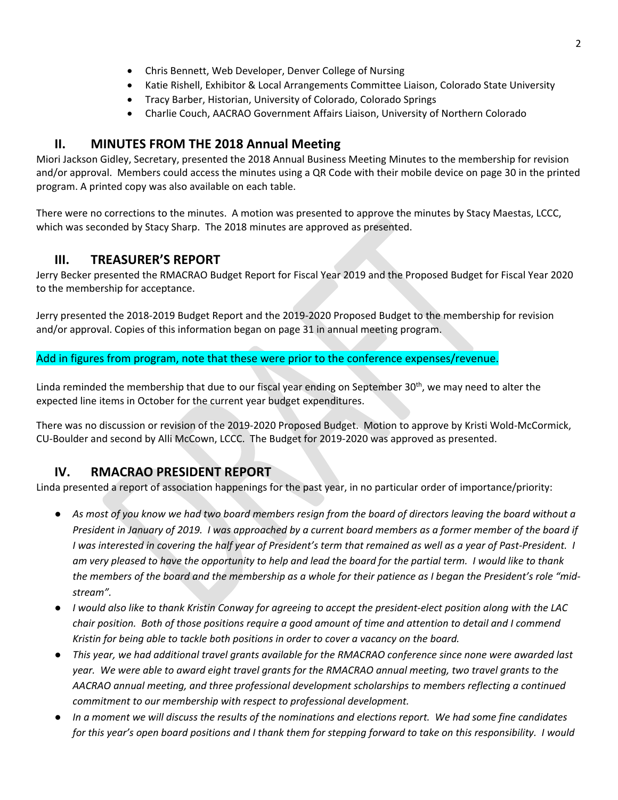- Chris Bennett, Web Developer, Denver College of Nursing
- Katie Rishell, Exhibitor & Local Arrangements Committee Liaison, Colorado State University
- Tracy Barber, Historian, University of Colorado, Colorado Springs
- Charlie Couch, AACRAO Government Affairs Liaison, University of Northern Colorado

### **II. MINUTES FROM THE 2018 Annual Meeting**

Miori Jackson Gidley, Secretary, presented the 2018 Annual Business Meeting Minutes to the membership for revision and/or approval. Members could access the minutes using a QR Code with their mobile device on page 30 in the printed program. A printed copy was also available on each table.

There were no corrections to the minutes. A motion was presented to approve the minutes by Stacy Maestas, LCCC, which was seconded by Stacy Sharp. The 2018 minutes are approved as presented.

### **III. TREASURER'S REPORT**

Jerry Becker presented the RMACRAO Budget Report for Fiscal Year 2019 and the Proposed Budget for Fiscal Year 2020 to the membership for acceptance.

Jerry presented the 2018-2019 Budget Report and the 2019-2020 Proposed Budget to the membership for revision and/or approval. Copies of this information began on page 31 in annual meeting program.

Add in figures from program, note that these were prior to the conference expenses/revenue.

Linda reminded the membership that due to our fiscal year ending on September 30<sup>th</sup>, we may need to alter the expected line items in October for the current year budget expenditures.

There was no discussion or revision of the 2019-2020 Proposed Budget. Motion to approve by Kristi Wold-McCormick, CU-Boulder and second by Alli McCown, LCCC. The Budget for 2019-2020 was approved as presented.

# **IV. RMACRAO PRESIDENT REPORT**

Linda presented a report of association happenings for the past year, in no particular order of importance/priority:

- *As most of you know we had two board members resign from the board of directors leaving the board without a President in January of 2019. I was approached by a current board members as a former member of the board if I* was interested in covering the half year of President's term that remained as well as a year of Past-President. *I am very pleased to have the opportunity to help and lead the board for the partial term. I would like to thank the members of the board and the membership as a whole for their patience as I began the President's role "midstream".*
- *I would also like to thank Kristin Conway for agreeing to accept the president-elect position along with the LAC chair position. Both of those positions require a good amount of time and attention to detail and I commend Kristin for being able to tackle both positions in order to cover a vacancy on the board.*
- *This year, we had additional travel grants available for the RMACRAO conference since none were awarded last year. We were able to award eight travel grants for the RMACRAO annual meeting, two travel grants to the AACRAO annual meeting, and three professional development scholarships to members reflecting a continued commitment to our membership with respect to professional development.*
- In a moment we will discuss the results of the nominations and elections report. We had some fine candidates *for this year's open board positions and I thank them for stepping forward to take on this responsibility. I would*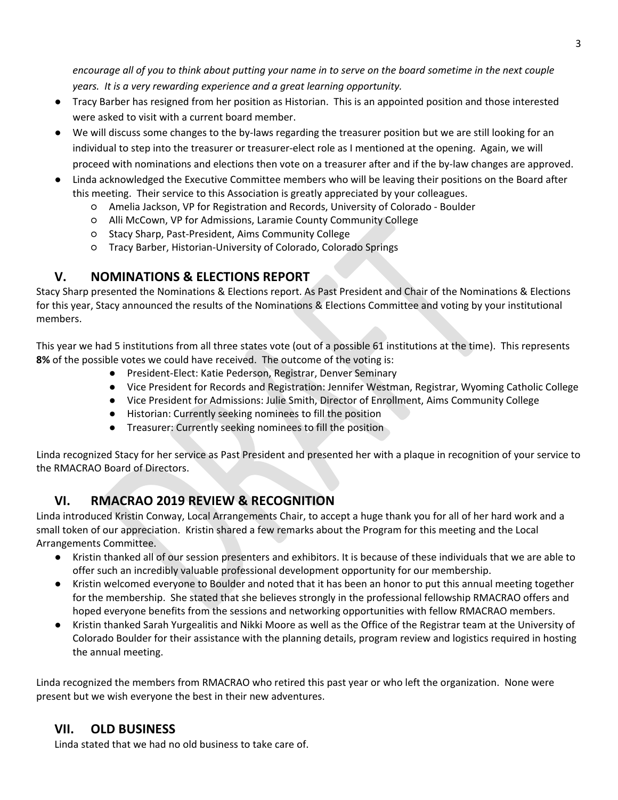*encourage all of you to think about putting your name in to serve on the board sometime in the next couple years. It is a very rewarding experience and a great learning opportunity.*

- Tracy Barber has resigned from her position as Historian. This is an appointed position and those interested were asked to visit with a current board member.
- We will discuss some changes to the by-laws regarding the treasurer position but we are still looking for an individual to step into the treasurer or treasurer-elect role as I mentioned at the opening. Again, we will proceed with nominations and elections then vote on a treasurer after and if the by-law changes are approved.
- Linda acknowledged the Executive Committee members who will be leaving their positions on the Board after this meeting. Their service to this Association is greatly appreciated by your colleagues.
	- Amelia Jackson, VP for Registration and Records, University of Colorado Boulder
	- Alli McCown, VP for Admissions, Laramie County Community College
	- Stacy Sharp, Past-President, Aims Community College
	- Tracy Barber, Historian-University of Colorado, Colorado Springs

# **V. NOMINATIONS & ELECTIONS REPORT**

Stacy Sharp presented the Nominations & Elections report. As Past President and Chair of the Nominations & Elections for this year, Stacy announced the results of the Nominations & Elections Committee and voting by your institutional members.

This year we had 5 institutions from all three states vote (out of a possible 61 institutions at the time). This represents **8%** of the possible votes we could have received. The outcome of the voting is:

- President-Elect: Katie Pederson, Registrar, Denver Seminary
- Vice President for Records and Registration: Jennifer Westman, Registrar, Wyoming Catholic College
- Vice President for Admissions: Julie Smith, Director of Enrollment, Aims Community College
- Historian: Currently seeking nominees to fill the position
- Treasurer: Currently seeking nominees to fill the position

Linda recognized Stacy for her service as Past President and presented her with a plaque in recognition of your service to the RMACRAO Board of Directors.

# **VI. RMACRAO 2019 REVIEW & RECOGNITION**

Linda introduced Kristin Conway, Local Arrangements Chair, to accept a huge thank you for all of her hard work and a small token of our appreciation. Kristin shared a few remarks about the Program for this meeting and the Local Arrangements Committee.

- Kristin thanked all of our session presenters and exhibitors. It is because of these individuals that we are able to offer such an incredibly valuable professional development opportunity for our membership.
- Kristin welcomed everyone to Boulder and noted that it has been an honor to put this annual meeting together for the membership. She stated that she believes strongly in the professional fellowship RMACRAO offers and hoped everyone benefits from the sessions and networking opportunities with fellow RMACRAO members.
- Kristin thanked Sarah Yurgealitis and Nikki Moore as well as the Office of the Registrar team at the University of Colorado Boulder for their assistance with the planning details, program review and logistics required in hosting the annual meeting.

Linda recognized the members from RMACRAO who retired this past year or who left the organization. None were present but we wish everyone the best in their new adventures.

# **VII. OLD BUSINESS**

Linda stated that we had no old business to take care of.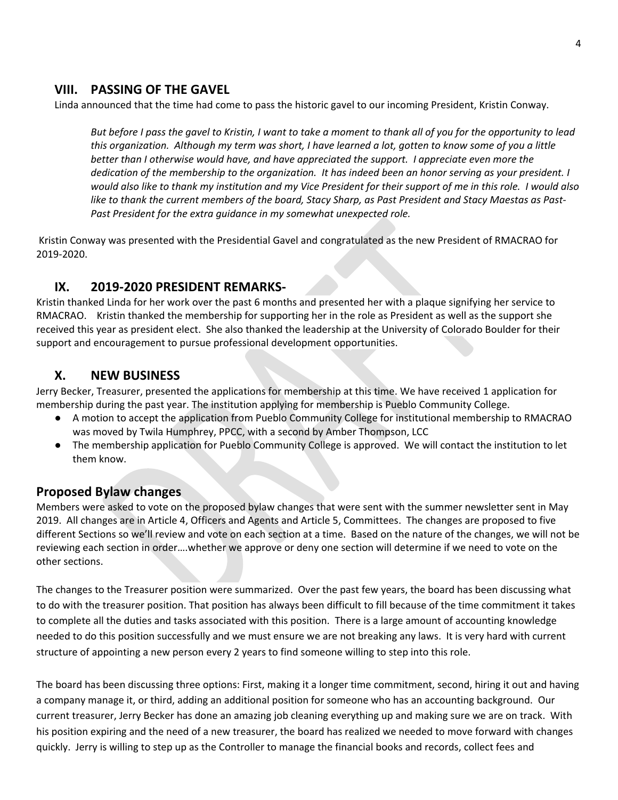#### **VIII. PASSING OF THE GAVEL**

Linda announced that the time had come to pass the historic gavel to our incoming President, Kristin Conway.

*But before I pass the gavel to Kristin, I want to take a moment to thank all of you for the opportunity to lead this organization. Although my term was short, I have learned a lot, gotten to know some of you a little better than I otherwise would have, and have appreciated the support. I appreciate even more the dedication of the membership to the organization. It has indeed been an honor serving as your president. I would also like to thank my institution and my Vice President for their support of me in this role. I would also like to thank the current members of the board, Stacy Sharp, as Past President and Stacy Maestas as Past-Past President for the extra guidance in my somewhat unexpected role.*

Kristin Conway was presented with the Presidential Gavel and congratulated as the new President of RMACRAO for 2019-2020.

#### **IX. 2019-2020 PRESIDENT REMARKS-**

Kristin thanked Linda for her work over the past 6 months and presented her with a plaque signifying her service to RMACRAO. Kristin thanked the membership for supporting her in the role as President as well as the support she received this year as president elect. She also thanked the leadership at the University of Colorado Boulder for their support and encouragement to pursue professional development opportunities.

#### **X. NEW BUSINESS**

Jerry Becker, Treasurer, presented the applications for membership at this time. We have received 1 application for membership during the past year. The institution applying for membership is Pueblo Community College.

- A motion to accept the application from Pueblo Community College for institutional membership to RMACRAO was moved by Twila Humphrey, PPCC, with a second by Amber Thompson, LCC
- The membership application for Pueblo Community College is approved. We will contact the institution to let them know.

### **Proposed Bylaw changes**

Members were asked to vote on the proposed bylaw changes that were sent with the summer newsletter sent in May 2019. All changes are in Article 4, Officers and Agents and Article 5, Committees. The changes are proposed to five different Sections so we'll review and vote on each section at a time. Based on the nature of the changes, we will not be reviewing each section in order….whether we approve or deny one section will determine if we need to vote on the other sections.

The changes to the Treasurer position were summarized. Over the past few years, the board has been discussing what to do with the treasurer position. That position has always been difficult to fill because of the time commitment it takes to complete all the duties and tasks associated with this position. There is a large amount of accounting knowledge needed to do this position successfully and we must ensure we are not breaking any laws. It is very hard with current structure of appointing a new person every 2 years to find someone willing to step into this role.

The board has been discussing three options: First, making it a longer time commitment, second, hiring it out and having a company manage it, or third, adding an additional position for someone who has an accounting background. Our current treasurer, Jerry Becker has done an amazing job cleaning everything up and making sure we are on track. With his position expiring and the need of a new treasurer, the board has realized we needed to move forward with changes quickly. Jerry is willing to step up as the Controller to manage the financial books and records, collect fees and